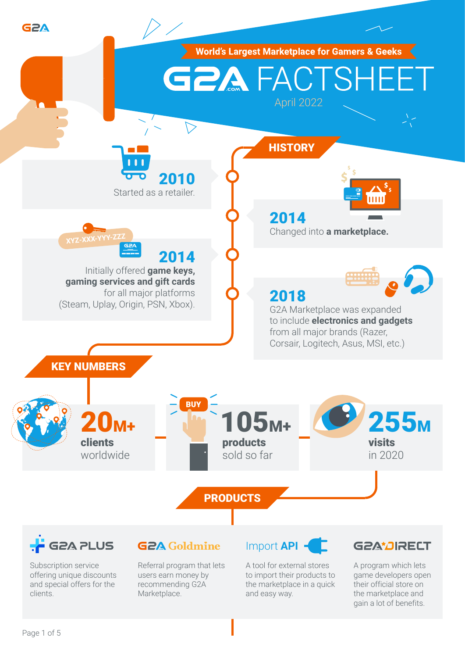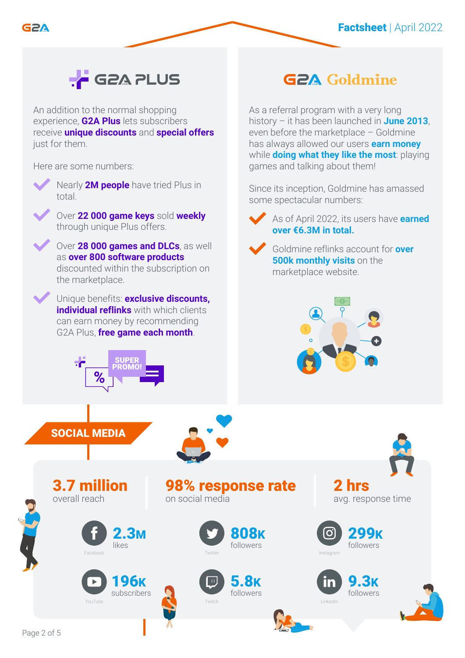

# **F** G2A PLUS

An addition to the normal shopping experience, **G2A Plus** lets subscribers receive **unique discounts** and **special offers** just for them.

Here are some numbers:





Over **22 000 game keys** sold **weekly** through unique Plus offers.



discounted within the subscription on the marketplace.

Unique benefits: **exclusive discounts, individual reflinks** with which clients can earn money by recommending G2A Plus, **free game each month**.



# **G2A Goldmine**

As a referral program with a very long history – it has been launched in **June 2013**, even before the marketplace – Goldmine has always allowed our users **earn money**  while **doing what they like the most**: playing games and talking about them!

Since its inception, Goldmine has amassed some spectacular numbers:

As of April 2022, its users have **earned over €6.3M in total.**





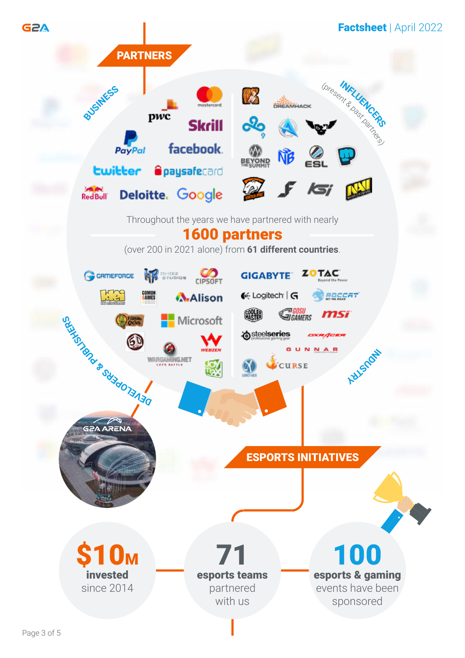

Page 3 of 5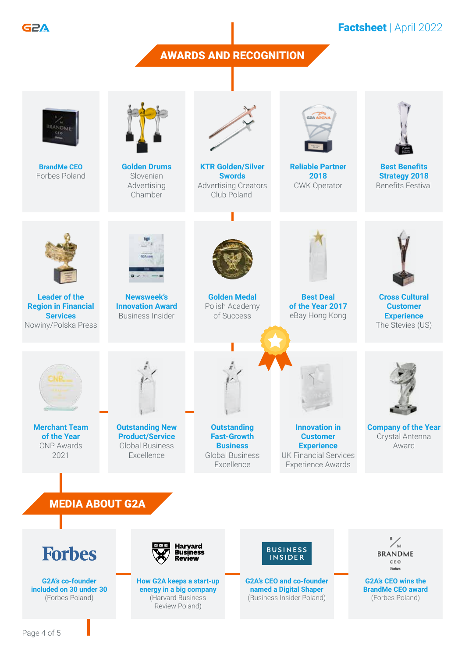G2A

## Factsheet | April 2022

#### AWARDS AND RECOGNITION